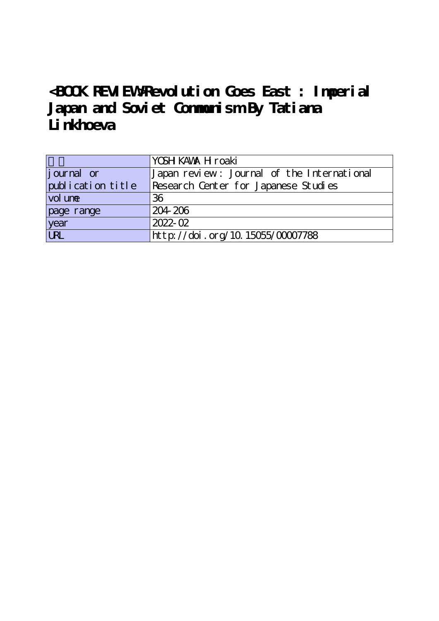## **<BOOK REVIEW>Revolution Goes East : Imperial Japan and Soviet Communism By Tatiana** Linkhoeva

|                   | YOSH KAVAX H roaki                         |
|-------------------|--------------------------------------------|
| journal or        | Japan review: Journal of the International |
| publication title | Research Center for Japanese Studies       |
| vol une           | 36                                         |
| page range        | 204-206                                    |
| year              | $2022 - 02$                                |
| URL               | http://doi.org/10.15055/00007788           |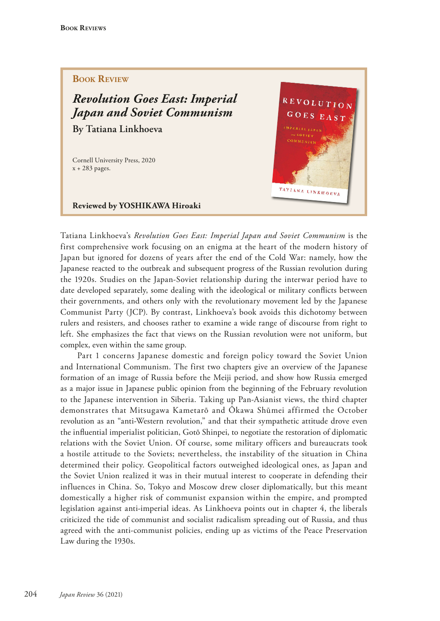## **Book Review**

*Revolution Goes East: Imperial Japan and Soviet Communism* **By Tatiana Linkhoeva**

Cornell University Press, 2020 x + 283 pages.



**Reviewed by YOSHIKAWA Hiroaki**

Tatiana Linkhoeva's *Revolution Goes East: Imperial Japan and Soviet Communism* is the first comprehensive work focusing on an enigma at the heart of the modern history of Japan but ignored for dozens of years after the end of the Cold War: namely, how the Japanese reacted to the outbreak and subsequent progress of the Russian revolution during the 1920s. Studies on the Japan-Soviet relationship during the interwar period have to date developed separately, some dealing with the ideological or military conficts between their governments, and others only with the revolutionary movement led by the Japanese Communist Party (JCP). By contrast, Linkhoeva's book avoids this dichotomy between rulers and resisters, and chooses rather to examine a wide range of discourse from right to left. She emphasizes the fact that views on the Russian revolution were not uniform, but complex, even within the same group.

Part 1 concerns Japanese domestic and foreign policy toward the Soviet Union and International Communism. The first two chapters give an overview of the Japanese formation of an image of Russia before the Meiji period, and show how Russia emerged as a major issue in Japanese public opinion from the beginning of the February revolution to the Japanese intervention in Siberia. Taking up Pan-Asianist views, the third chapter demonstrates that Mitsugawa Kametarō and Ōkawa Shūmei affirmed the October revolution as an "anti-Western revolution," and that their sympathetic attitude drove even the infuential imperialist politician, Gotō Shinpei, to negotiate the restoration of diplomatic relations with the Soviet Union. Of course, some military officers and bureaucrats took a hostile attitude to the Soviets; nevertheless, the instability of the situation in China determined their policy. Geopolitical factors outweighed ideological ones, as Japan and the Soviet Union realized it was in their mutual interest to cooperate in defending their influences in China. So, Tokyo and Moscow drew closer diplomatically, but this meant domestically a higher risk of communist expansion within the empire, and prompted legislation against anti-imperial ideas. As Linkhoeva points out in chapter 4, the liberals criticized the tide of communist and socialist radicalism spreading out of Russia, and thus agreed with the anti-communist policies, ending up as victims of the Peace Preservation Law during the 1930s.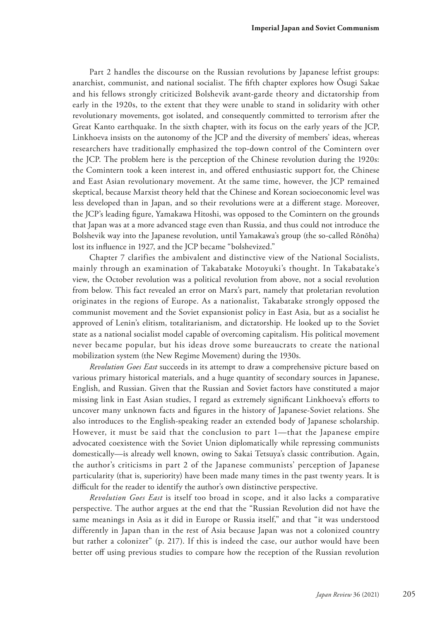Part 2 handles the discourse on the Russian revolutions by Japanese leftist groups: anarchist, communist, and national socialist. The ffth chapter explores how Ōsugi Sakae and his fellows strongly criticized Bolshevik avant-garde theory and dictatorship from early in the 1920s, to the extent that they were unable to stand in solidarity with other revolutionary movements, got isolated, and consequently committed to terrorism after the Great Kanto earthquake. In the sixth chapter, with its focus on the early years of the JCP, Linkhoeva insists on the autonomy of the JCP and the diversity of members' ideas, whereas researchers have traditionally emphasized the top-down control of the Comintern over the JCP. The problem here is the perception of the Chinese revolution during the 1920s: the Comintern took a keen interest in, and offered enthusiastic support for, the Chinese and East Asian revolutionary movement. At the same time, however, the JCP remained skeptical, because Marxist theory held that the Chinese and Korean socioeconomic level was less developed than in Japan, and so their revolutions were at a diferent stage. Moreover, the JCP's leading fgure, Yamakawa Hitoshi, was opposed to the Comintern on the grounds that Japan was at a more advanced stage even than Russia, and thus could not introduce the Bolshevik way into the Japanese revolution, until Yamakawa's group (the so-called Rōnōha) lost its infuence in 1927, and the JCP became "bolshevized."

Chapter 7 clarifies the ambivalent and distinctive view of the National Socialists, mainly through an examination of Takabatake Motoyuki's thought. In Takabatake's view, the October revolution was a political revolution from above, not a social revolution from below. This fact revealed an error on Marx's part, namely that proletarian revolution originates in the regions of Europe. As a nationalist, Takabatake strongly opposed the communist movement and the Soviet expansionist policy in East Asia, but as a socialist he approved of Lenin's elitism, totalitarianism, and dictatorship. He looked up to the Soviet state as a national socialist model capable of overcoming capitalism. His political movement never became popular, but his ideas drove some bureaucrats to create the national mobilization system (the New Regime Movement) during the 1930s.

*Revolution Goes East* succeeds in its attempt to draw a comprehensive picture based on various primary historical materials, and a huge quantity of secondary sources in Japanese, English, and Russian. Given that the Russian and Soviet factors have constituted a major missing link in East Asian studies, I regard as extremely signifcant Linkhoeva's eforts to uncover many unknown facts and fgures in the history of Japanese-Soviet relations. She also introduces to the English-speaking reader an extended body of Japanese scholarship. However, it must be said that the conclusion to part 1—that the Japanese empire advocated coexistence with the Soviet Union diplomatically while repressing communists domestically—is already well known, owing to Sakai Tetsuya's classic contribution. Again, the author's criticisms in part 2 of the Japanese communists' perception of Japanese particularity (that is, superiority) have been made many times in the past twenty years. It is difficult for the reader to identify the author's own distinctive perspective.

*Revolution Goes East* is itself too broad in scope, and it also lacks a comparative perspective. The author argues at the end that the "Russian Revolution did not have the same meanings in Asia as it did in Europe or Russia itself," and that "it was understood differently in Japan than in the rest of Asia because Japan was not a colonized country but rather a colonizer" (p. 217). If this is indeed the case, our author would have been better off using previous studies to compare how the reception of the Russian revolution